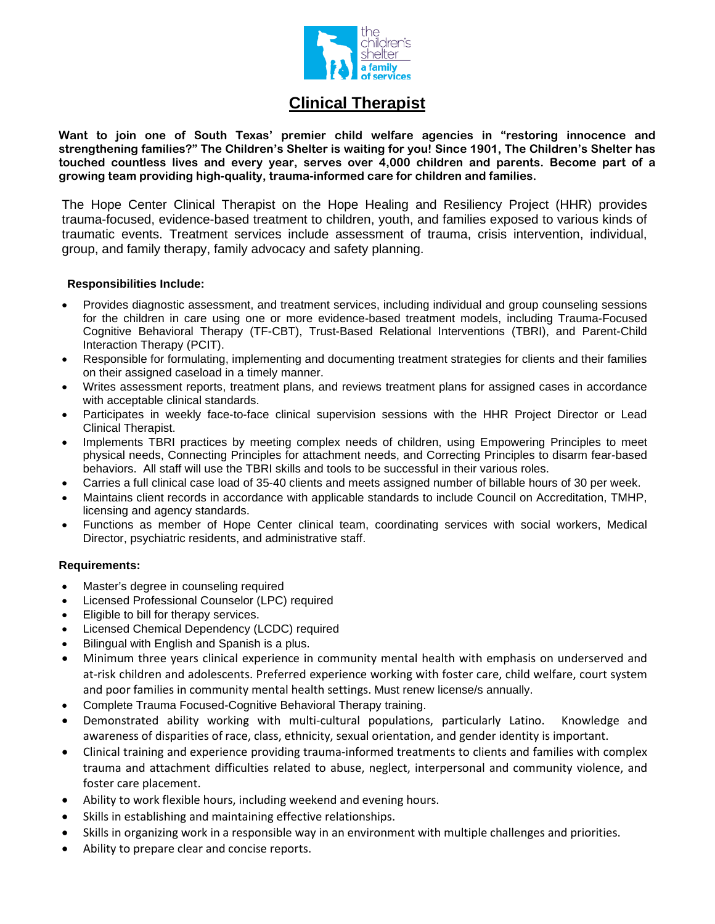

## **Clinical Therapist**

**Want to join one of South Texas' premier child welfare agencies in "restoring innocence and strengthening families?" The Children's Shelter is waiting for you! Since 1901, The Children's Shelter has touched countless lives and every year, serves over 4,000 children and parents. Become part of a growing team providing high-quality, trauma-informed care for children and families.** 

The Hope Center Clinical Therapist on the Hope Healing and Resiliency Project (HHR) provides trauma-focused, evidence-based treatment to children, youth, and families exposed to various kinds of traumatic events. Treatment services include assessment of trauma, crisis intervention, individual, group, and family therapy, family advocacy and safety planning.

## **Responsibilities Include:**

- Provides diagnostic assessment, and treatment services, including individual and group counseling sessions for the children in care using one or more evidence-based treatment models, including Trauma-Focused Cognitive Behavioral Therapy (TF-CBT), Trust-Based Relational Interventions (TBRI), and Parent-Child Interaction Therapy (PCIT).
- Responsible for formulating, implementing and documenting treatment strategies for clients and their families on their assigned caseload in a timely manner.
- Writes assessment reports, treatment plans, and reviews treatment plans for assigned cases in accordance with acceptable clinical standards.
- Participates in weekly face-to-face clinical supervision sessions with the HHR Project Director or Lead Clinical Therapist.
- Implements TBRI practices by meeting complex needs of children, using Empowering Principles to meet physical needs, Connecting Principles for attachment needs, and Correcting Principles to disarm fear-based behaviors. All staff will use the TBRI skills and tools to be successful in their various roles.
- Carries a full clinical case load of 35-40 clients and meets assigned number of billable hours of 30 per week.
- Maintains client records in accordance with applicable standards to include Council on Accreditation, TMHP, licensing and agency standards.
- Functions as member of Hope Center clinical team, coordinating services with social workers, Medical Director, psychiatric residents, and administrative staff.

## **Requirements:**

- Master's degree in counseling required
- Licensed Professional Counselor (LPC) required
- Eligible to bill for therapy services.
- Licensed Chemical Dependency (LCDC) required
- Bilingual with English and Spanish is a plus.
- Minimum three years clinical experience in community mental health with emphasis on underserved and at-risk children and adolescents. Preferred experience working with foster care, child welfare, court system and poor families in community mental health settings. Must renew license/s annually.
- Complete Trauma Focused-Cognitive Behavioral Therapy training.
- Demonstrated ability working with multi-cultural populations, particularly Latino. Knowledge and awareness of disparities of race, class, ethnicity, sexual orientation, and gender identity is important.
- Clinical training and experience providing trauma-informed treatments to clients and families with complex trauma and attachment difficulties related to abuse, neglect, interpersonal and community violence, and foster care placement.
- Ability to work flexible hours, including weekend and evening hours.
- Skills in establishing and maintaining effective relationships.
- Skills in organizing work in a responsible way in an environment with multiple challenges and priorities.
- Ability to prepare clear and concise reports.